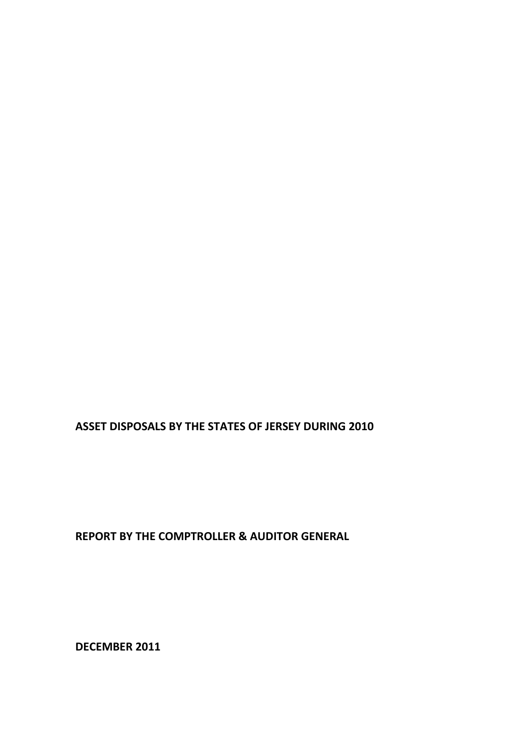DECEMBER 2011

REPORT BY THE COMPTROLLER & AUDITOR GENERAL

# ASSET DISPOSALS BY THE STATES OF JERSEY DURING 2010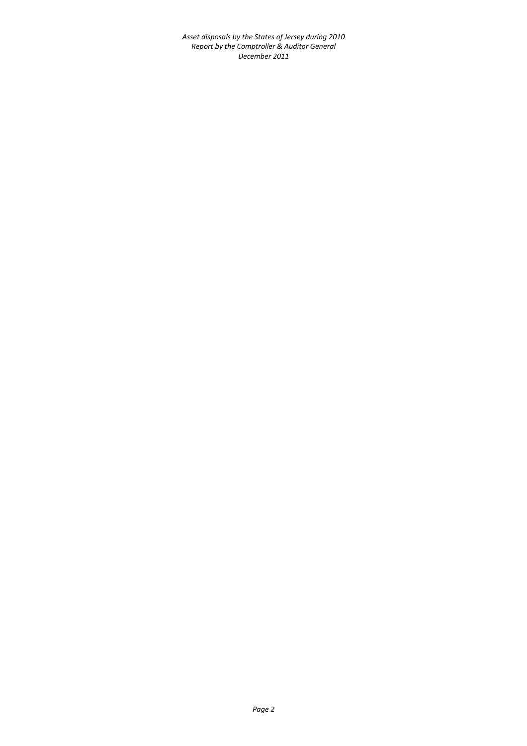Asset disposals by the States of Jersey during 2010 Report by the Comptroller & Auditor General December 2011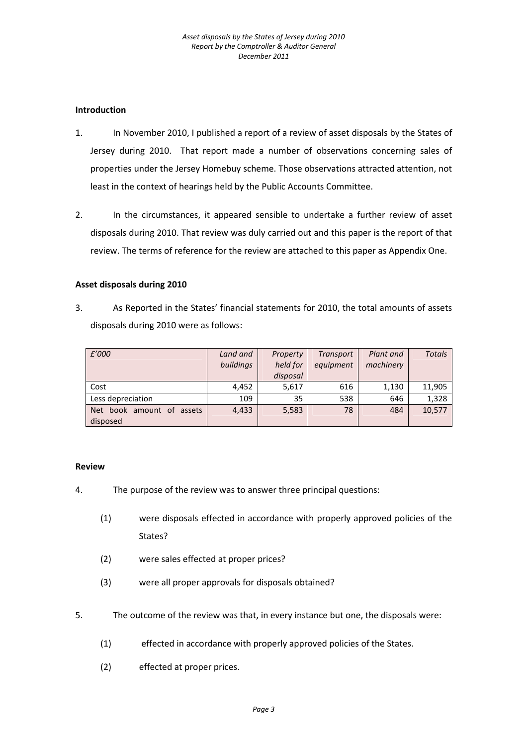## Introduction

- 1. In November 2010, I published a report of a review of asset disposals by the States of Jersey during 2010. That report made a number of observations concerning sales of properties under the Jersey Homebuy scheme. Those observations attracted attention, not least in the context of hearings held by the Public Accounts Committee.
- 2. In the circumstances, it appeared sensible to undertake a further review of asset disposals during 2010. That review was duly carried out and this paper is the report of that review. The terms of reference for the review are attached to this paper as Appendix One.

### Asset disposals during 2010

3. As Reported in the States' financial statements for 2010, the total amounts of assets disposals during 2010 were as follows:

| £'000                                     | Land and<br>buildings | Property<br>held for<br>disposal | <b>Transport</b><br>equipment | Plant and<br>machinery | <b>Totals</b> |
|-------------------------------------------|-----------------------|----------------------------------|-------------------------------|------------------------|---------------|
| Cost                                      | 4,452                 | 5,617                            | 616                           | 1,130                  | 11,905        |
| Less depreciation                         | 109                   | 35                               | 538                           | 646                    | 1,328         |
| book amount of assets<br>Net.<br>disposed | 4,433                 | 5,583                            | 78                            | 484                    | 10,577        |

### Review

- 4. The purpose of the review was to answer three principal questions:
	- (1) were disposals effected in accordance with properly approved policies of the States?
	- (2) were sales effected at proper prices?
	- (3) were all proper approvals for disposals obtained?
- 5. The outcome of the review was that, in every instance but one, the disposals were:
	- (1) effected in accordance with properly approved policies of the States.
	- (2) effected at proper prices.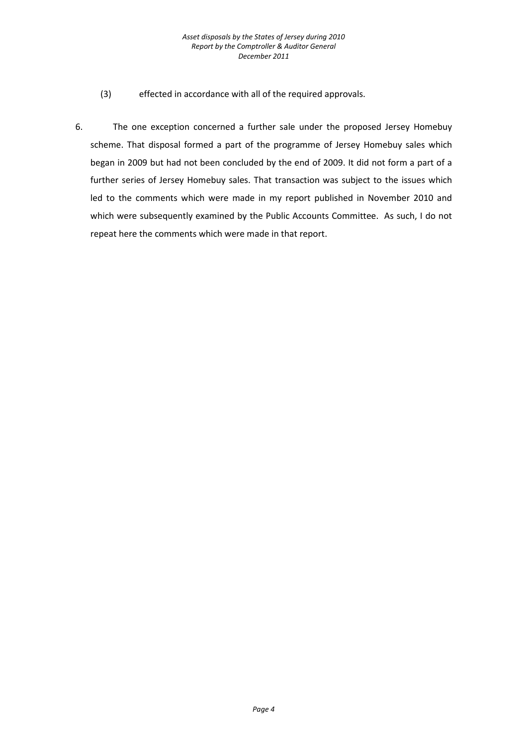#### Asset disposals by the States of Jersey during 2010 Report by the Comptroller & Auditor General December 2011

- (3) effected in accordance with all of the required approvals.
- 6. The one exception concerned a further sale under the proposed Jersey Homebuy scheme. That disposal formed a part of the programme of Jersey Homebuy sales which began in 2009 but had not been concluded by the end of 2009. It did not form a part of a further series of Jersey Homebuy sales. That transaction was subject to the issues which led to the comments which were made in my report published in November 2010 and which were subsequently examined by the Public Accounts Committee. As such, I do not repeat here the comments which were made in that report.